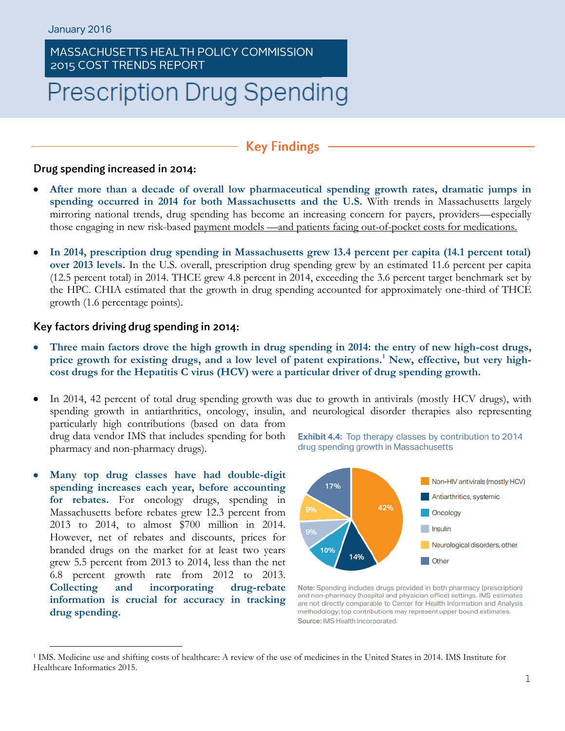## MASSACHUSETTS HEALTH POLICY COMMISSION 2015 COST TRENDS REPORT

# **Prescription Drug Spending**

# **Key Findings**

#### Drug spending increased in 2014:

- **After more than a decade of overall low pharmaceutical spending growth rates, dramatic jumps in spending occurred in 2014 for both Massachusetts and the U.S.** With trends in Massachusetts largely mirroring national trends, drug spending has become an increasing concern for payers, providers—especially those engaging in new risk-based payment models —and patients facing out-of-pocket costs for medications.
- **In 2014, prescription drug spending in Massachusetts grew 13.4 percent per capita (14.1 percent total) over 2013 levels.** In the U.S. overall, prescription drug spending grew by an estimated 11.6 percent per capita (12.5 percent total) in 2014. THCE grew 4.8 percent in 2014, exceeding the 3.6 percent target benchmark set by the HPC. CHIA estimated that the growth in drug spending accounted for approximately one-third of THCE growth (1.6 percentage points).

#### Key factors driving drug spending in 2014:

- **Three main factors drove the high growth in drug spending in 2014: the entry of new high-cost drugs, price growth for existing drugs, and a low level of patent expirations.<sup>1</sup> New, effective, but very highcost drugs for the Hepatitis C virus (HCV) were a particular driver of drug spending growth.**
- In 2014, 42 percent of total drug spending growth was due to growth in antivirals (mostly HCV drugs), with spending growth in antiarthritics, oncology, insulin, and neurological disorder therapies also representing particularly high contributions (based on data from drug data vendor IMS that includes spending for both Exhibit 4.4: Top therapy classes by contribution to 2014 pharmacy and non-pharmacy drugs).
- **Many top drug classes have had double-digit spending increases each year, before accounting for rebates.** For oncology drugs, spending in Massachusetts before rebates grew 12.3 percent from 2013 to 2014, to almost \$700 million in 2014. However, net of rebates and discounts, prices for branded drugs on the market for at least two years grew 5.5 percent from 2013 to 2014, less than the net 6.8 percent growth rate from 2012 to 2013. **Collecting and incorporating drug-rebate information is crucial for accuracy in tracking drug spending.**

drug spending growth in Massachusetts



Note: Spending includes drugs provided in both pharmacy (prescription) and non-pharmacy (hospital and physician office) settings. IMS estimates are not directly comparable to Center for Health Information and Analysis methodology; top contributions may represent upper bound estimates. Source: IMS Health Incorporated.

<sup>1</sup> IMS. Medicine use and shifting costs of healthcare: A review of the use of medicines in the United States in 2014. IMS Institute for Healthcare Informatics 2015.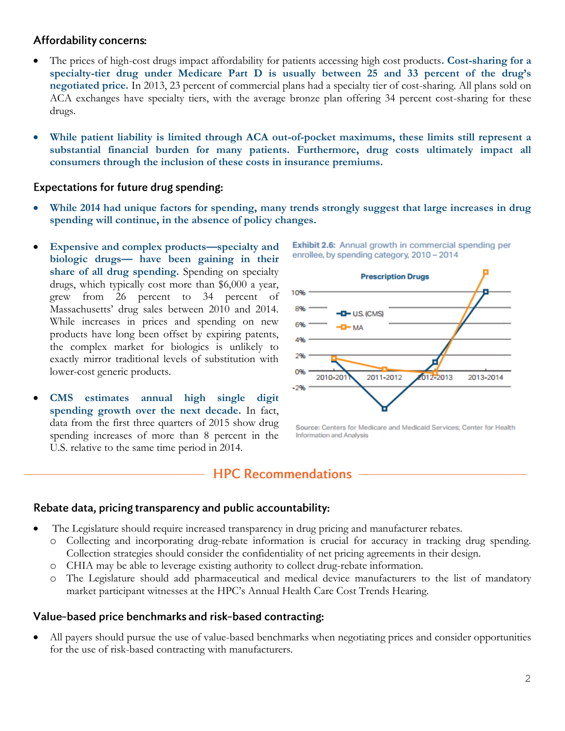## Affordability concerns:

- The prices of high-cost drugs impact affordability for patients accessing high cost products**. Cost-sharing for a specialty-tier drug under Medicare Part D is usually between 25 and 33 percent of the drug's negotiated price.** In 2013, 23 percent of commercial plans had a specialty tier of cost-sharing. All plans sold on ACA exchanges have specialty tiers, with the average bronze plan offering 34 percent cost-sharing for these drugs.
- **While patient liability is limited through ACA out-of-pocket maximums, these limits still represent a substantial financial burden for many patients. Furthermore, drug costs ultimately impact all consumers through the inclusion of these costs in insurance premiums.**

## **Expectations for future drug spending:**

- **While 2014 had unique factors for spending, many trends strongly suggest that large increases in drug spending will continue, in the absence of policy changes.**
- **Expensive and complex products—specialty and biologic drugs— have been gaining in their share of all drug spending.** Spending on specialty drugs, which typically cost more than \$6,000 a year, grew from 26 percent to 34 percent of Massachusetts' drug sales between 2010 and 2014. While increases in prices and spending on new products have long been offset by expiring patents, the complex market for biologics is unlikely to exactly mirror traditional levels of substitution with lower-cost generic products.
- **CMS estimates annual high single digit spending growth over the next decade.** In fact, data from the first three quarters of 2015 show drug spending increases of more than 8 percent in the U.S. relative to the same time period in 2014.



Exhibit 2.6: Annual growth in commercial spending per

enrollee, by spending category, 2010 - 2014

Source: Centers for Medicare and Medicaid Services: Center for Health **Information and Analysis** 

## **HPC Recommendations**

## Rebate data, pricing transparency and public accountability:

- The Legislature should require increased transparency in drug pricing and manufacturer rebates.
	- o Collecting and incorporating drug-rebate information is crucial for accuracy in tracking drug spending. Collection strategies should consider the confidentiality of net pricing agreements in their design.
	- o CHIA may be able to leverage existing authority to collect drug-rebate information.
	- o The Legislature should add pharmaceutical and medical device manufacturers to the list of mandatory market participant witnesses at the HPC's Annual Health Care Cost Trends Hearing.

## Value-based price benchmarks and risk-based contracting:

 All payers should pursue the use of value-based benchmarks when negotiating prices and consider opportunities for the use of risk-based contracting with manufacturers.